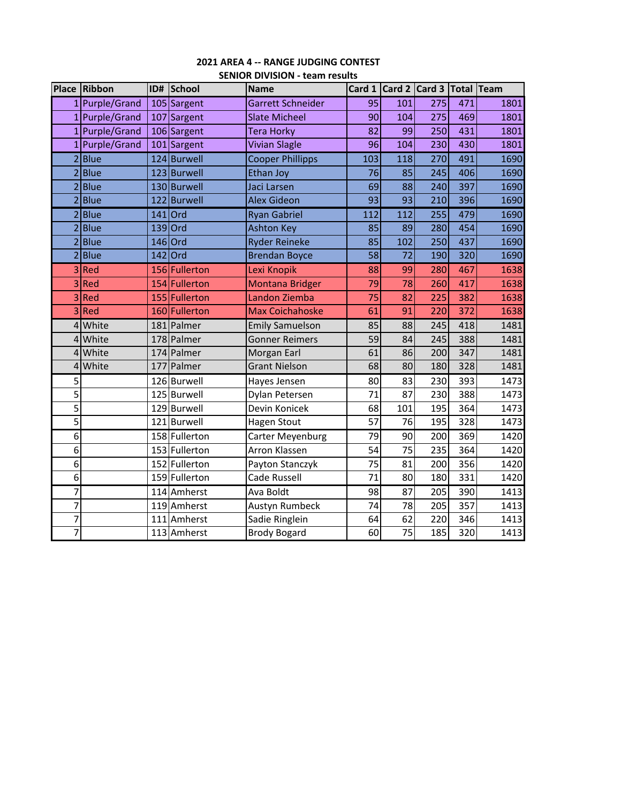|                          | <b>Place Ribbon</b> |     | ID# School    | <b>Name</b>              |     |                 | Card 1 Card 2 Card 3 Total Team |     |      |
|--------------------------|---------------------|-----|---------------|--------------------------|-----|-----------------|---------------------------------|-----|------|
|                          | 1 Purple/Grand      |     | 105 Sargent   | <b>Garrett Schneider</b> | 95  | 101             | 275                             | 471 | 1801 |
| 1                        | Purple/Grand        |     | 107 Sargent   | <b>Slate Micheel</b>     | 90  | 104             | 275                             | 469 | 1801 |
|                          | Purple/Grand        |     | 106 Sargent   | <b>Tera Horky</b>        | 82  | 99              | 250                             | 431 | 1801 |
|                          | Purple/Grand        |     | 101 Sargent   | <b>Vivian Slagle</b>     | 96  | 104             | 230                             | 430 | 1801 |
|                          | 2Blue               |     | 124 Burwell   | <b>Cooper Phillipps</b>  | 103 | 118             | 270                             | 491 | 1690 |
| $\overline{\mathcal{L}}$ | Blue                |     | 123 Burwell   | <b>Ethan Joy</b>         | 76  | 85              | 245                             | 406 | 1690 |
|                          | <b>Blue</b>         |     | 130 Burwell   | Jaci Larsen              | 69  | 88              | 240                             | 397 | 1690 |
|                          | Blue                |     | 122 Burwell   | <b>Alex Gideon</b>       | 93  | 93              | 210                             | 396 | 1690 |
|                          | 2Blue               |     | 141 Ord       | <b>Ryan Gabriel</b>      | 112 | $\frac{112}{2}$ | 255                             | 479 | 1690 |
| $\overline{\mathcal{L}}$ | <b>Blue</b>         |     | 139 Ord       | <b>Ashton Key</b>        | 85  | 89              | 280                             | 454 | 1690 |
|                          | <b>Blue</b>         |     | 146 Ord       | <b>Ryder Reineke</b>     | 85  | 102             | 250                             | 437 | 1690 |
|                          | Blue                |     | 142 Ord       | <b>Brendan Boyce</b>     | 58  | 72              | 190                             | 320 | 1690 |
|                          | 3Red                |     | 156 Fullerton | Lexi Knopik              | 88  | 99              | 280                             | 467 | 1638 |
| 3                        | Red                 |     | 154 Fullerton | <b>Montana Bridger</b>   | 79  | 78              | 260                             | 417 | 1638 |
| 3                        | Red                 |     | 155 Fullerton | Landon Ziemba            | 75  | 82              | 225                             | 382 | 1638 |
| 3                        | Red                 |     | 160 Fullerton | <b>Max Coichahoske</b>   | 61  | 91              | 220                             | 372 | 1638 |
|                          | 4 White             |     | 181 Palmer    | <b>Emily Samuelson</b>   | 85  | 88              | 245                             | 418 | 1481 |
|                          | 4 White             |     | 178 Palmer    | <b>Gonner Reimers</b>    | 59  | 84              | 245                             | 388 | 1481 |
| 4                        | White               |     | 174 Palmer    | Morgan Earl              | 61  | 86              | 200                             | 347 | 1481 |
| 4                        | White               | 177 | Palmer        | <b>Grant Nielson</b>     | 68  | 80              | 180                             | 328 | 1481 |
| 5                        |                     |     | 126 Burwell   | Hayes Jensen             | 80  | 83              | 230                             | 393 | 1473 |
| 5                        |                     |     | 125 Burwell   | Dylan Petersen           | 71  | 87              | 230                             | 388 | 1473 |
| 5                        |                     |     | 129 Burwell   | Devin Konicek            | 68  | 101             | 195                             | 364 | 1473 |
| 5                        |                     |     | 121 Burwell   | <b>Hagen Stout</b>       | 57  | 76              | 195                             | 328 | 1473 |
| 6                        |                     |     | 158 Fullerton | Carter Meyenburg         | 79  | 90              | 200                             | 369 | 1420 |
| 6                        |                     |     | 153 Fullerton | Arron Klassen            | 54  | 75              | 235                             | 364 | 1420 |
| $\overline{6}$           |                     |     | 152 Fullerton | Payton Stanczyk          | 75  | 81              | 200                             | 356 | 1420 |
| 6                        |                     |     | 159 Fullerton | Cade Russell             | 71  | 80              | 180                             | 331 | 1420 |
| $\overline{7}$           |                     |     | 114 Amherst   | Ava Boldt                | 98  | 87              | 205                             | 390 | 1413 |
| $\overline{7}$           |                     |     | 119 Amherst   | Austyn Rumbeck           | 74  | 78              | 205                             | 357 | 1413 |
| 7                        |                     | 111 | Amherst       | Sadie Ringlein           | 64  | 62              | 220                             | 346 | 1413 |
| 7                        |                     |     | 113 Amherst   | <b>Brody Bogard</b>      | 60  | 75              | 185                             | 320 | 1413 |

## **2021 AREA 4 ‐‐ RANGE JUDGING CONTEST SENIOR DIVISION ‐ team results**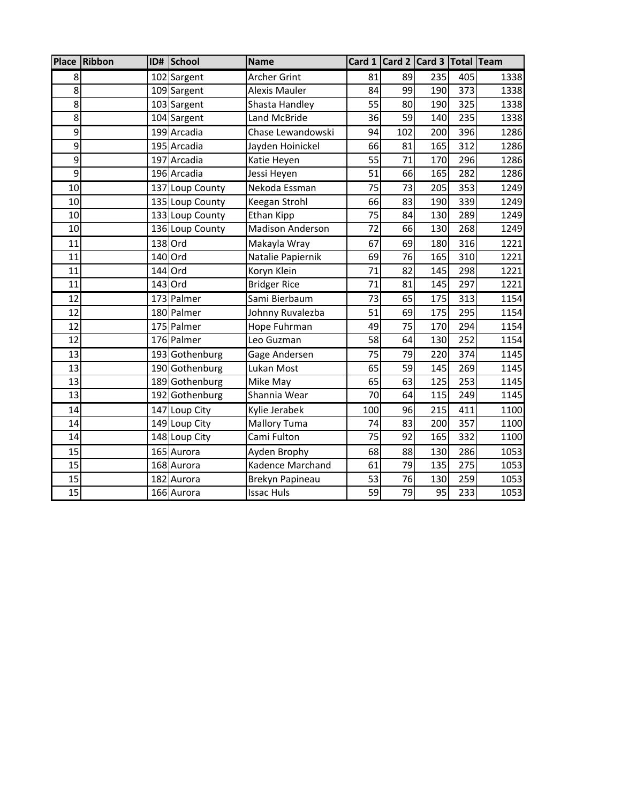|                 | Place Ribbon |     | ID# School      | <b>Name</b>             |     |     | Card 1 Card 2 Card 3 Total Team |     |      |
|-----------------|--------------|-----|-----------------|-------------------------|-----|-----|---------------------------------|-----|------|
| 8               |              |     | 102 Sargent     | <b>Archer Grint</b>     | 81  | 89  | 235                             | 405 | 1338 |
| 8               |              |     | 109 Sargent     | <b>Alexis Mauler</b>    | 84  | 99  | 190                             | 373 | 1338 |
| $\overline{8}$  |              |     | 103 Sargent     | Shasta Handley          | 55  | 80  | 190                             | 325 | 1338 |
| 8               |              |     | 104 Sargent     | <b>Land McBride</b>     | 36  | 59  | 140                             | 235 | 1338 |
| $\overline{9}$  |              |     | 199 Arcadia     | Chase Lewandowski       | 94  | 102 | 200                             | 396 | 1286 |
| 9               |              |     | 195 Arcadia     | Jayden Hoinickel        | 66  | 81  | 165                             | 312 | 1286 |
| 9               |              |     | 197 Arcadia     | Katie Heyen             | 55  | 71  | 170                             | 296 | 1286 |
| 9               |              |     | 196 Arcadia     | Jessi Heyen             | 51  | 66  | 165                             | 282 | 1286 |
| 10              |              |     | 137 Loup County | Nekoda Essman           | 75  | 73  | 205                             | 353 | 1249 |
| 10              |              |     | 135 Loup County | Keegan Strohl           | 66  | 83  | 190                             | 339 | 1249 |
| 10              |              |     | 133 Loup County | <b>Ethan Kipp</b>       | 75  | 84  | 130                             | 289 | 1249 |
| 10              |              |     | 136 Loup County | <b>Madison Anderson</b> | 72  | 66  | 130                             | 268 | 1249 |
| 11              |              |     | 138 Ord         | Makayla Wray            | 67  | 69  | 180                             | 316 | 1221 |
| 11              |              |     | 140 Ord         | Natalie Papiernik       | 69  | 76  | 165                             | 310 | 1221 |
| 11              |              | 144 | Ord             | Koryn Klein             | 71  | 82  | 145                             | 298 | 1221 |
| 11              |              |     | 143 Ord         | <b>Bridger Rice</b>     | 71  | 81  | 145                             | 297 | 1221 |
| 12              |              |     | 173 Palmer      | Sami Bierbaum           | 73  | 65  | 175                             | 313 | 1154 |
| 12              |              |     | 180 Palmer      | Johnny Ruvalezba        | 51  | 69  | 175                             | 295 | 1154 |
| 12              |              |     | 175 Palmer      | Hope Fuhrman            | 49  | 75  | 170                             | 294 | 1154 |
| 12              |              |     | 176 Palmer      | Leo Guzman              | 58  | 64  | 130                             | 252 | 1154 |
| 13              |              |     | 193 Gothenburg  | Gage Andersen           | 75  | 79  | 220                             | 374 | 1145 |
| 13              |              |     | 190 Gothenburg  | Lukan Most              | 65  | 59  | 145                             | 269 | 1145 |
| 13              |              |     | 189 Gothenburg  | Mike May                | 65  | 63  | 125                             | 253 | 1145 |
| 13              |              |     | 192 Gothenburg  | Shannia Wear            | 70  | 64  | 115                             | 249 | 1145 |
| 14              |              |     | 147 Loup City   | Kylie Jerabek           | 100 | 96  | 215                             | 411 | 1100 |
| 14              |              |     | 149 Loup City   | <b>Mallory Tuma</b>     | 74  | 83  | 200                             | 357 | 1100 |
| 14              |              |     | 148 Loup City   | Cami Fulton             | 75  | 92  | 165                             | 332 | 1100 |
| 15              |              |     | 165 Aurora      | Ayden Brophy            | 68  | 88  | 130                             | 286 | 1053 |
| 15              |              |     | 168 Aurora      | Kadence Marchand        | 61  | 79  | 135                             | 275 | 1053 |
| 15              |              |     | 182 Aurora      | Brekyn Papineau         | 53  | 76  | 130                             | 259 | 1053 |
| $\overline{15}$ |              |     | $166$ Aurora    | <b>Issac Huls</b>       | 59  | 79  | $\overline{95}$                 | 233 | 1053 |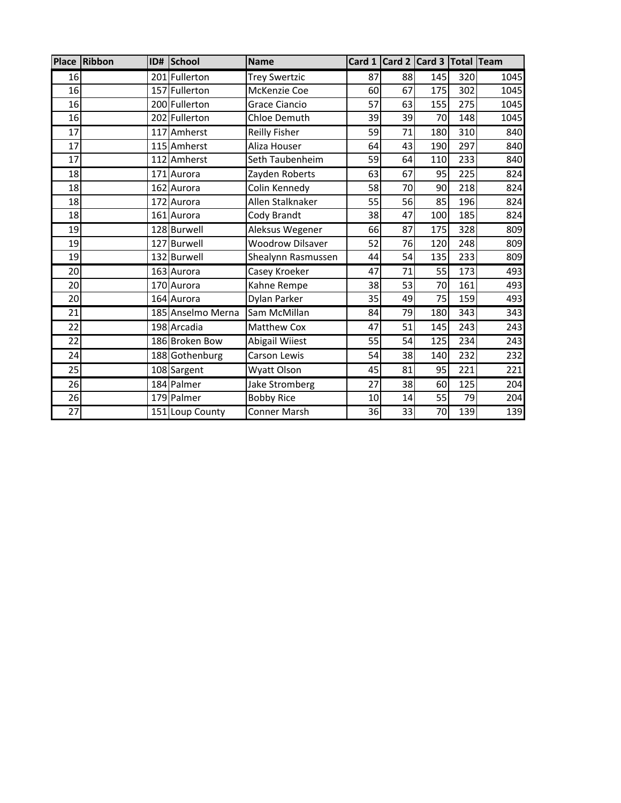|                 | Place Ribbon | ID# | School            | <b>Name</b>             |    |    | Card 1 Card 2 Card 3 Total Team |                  |      |
|-----------------|--------------|-----|-------------------|-------------------------|----|----|---------------------------------|------------------|------|
| 16              |              |     | 201 Fullerton     | <b>Trey Swertzic</b>    | 87 | 88 | 145                             | 320              | 1045 |
| 16              |              |     | 157 Fullerton     | McKenzie Coe            | 60 | 67 | 175                             | 302              | 1045 |
| 16              |              |     | 200 Fullerton     | Grace Ciancio           | 57 | 63 | 155                             | 275              | 1045 |
| 16              |              |     | 202 Fullerton     | Chloe Demuth            | 39 | 39 | 70                              | 148              | 1045 |
| 17              |              | 117 | Amherst           | Reilly Fisher           | 59 | 71 | 180                             | 310              | 840  |
| 17              |              |     | 115 Amherst       | Aliza Houser            | 64 | 43 | 190                             | 297              | 840  |
| 17              |              |     | 112 Amherst       | Seth Taubenheim         | 59 | 64 | 110                             | 233              | 840  |
| 18              |              |     | 171 Aurora        | Zayden Roberts          | 63 | 67 | 95                              | 225              | 824  |
| 18              |              |     | 162 Aurora        | Colin Kennedy           | 58 | 70 | 90                              | 218              | 824  |
| 18              |              |     | 172 Aurora        | Allen Stalknaker        | 55 | 56 | 85                              | 196              | 824  |
| 18              |              |     | 161 Aurora        | Cody Brandt             | 38 | 47 | 100                             | 185              | 824  |
| 19              |              |     | 128 Burwell       | Aleksus Wegener         | 66 | 87 | 175                             | 328              | 809  |
| 19              |              |     | 127 Burwell       | <b>Woodrow Dilsaver</b> | 52 | 76 | 120                             | 248              | 809  |
| 19              |              |     | 132 Burwell       | Shealynn Rasmussen      | 44 | 54 | 135                             | 233              | 809  |
| 20              |              |     | 163 Aurora        | Casey Kroeker           | 47 | 71 | 55                              | 173              | 493  |
| 20              |              |     | 170 Aurora        | Kahne Rempe             | 38 | 53 | 70                              | 161              | 493  |
| 20              |              |     | 164 Aurora        | Dylan Parker            | 35 | 49 | 75                              | 159              | 493  |
| 21              |              |     | 185 Anselmo Merna | Sam McMillan            | 84 | 79 | 180                             | 343              | 343  |
| 22              |              |     | 198 Arcadia       | Matthew Cox             | 47 | 51 | 145                             | 243              | 243  |
| 22              |              |     | 186 Broken Bow    | Abigail Wiiest          | 55 | 54 | 125                             | 234              | 243  |
| 24              |              |     | 188 Gothenburg    | Carson Lewis            | 54 | 38 | 140                             | 232              | 232  |
| $\overline{25}$ |              |     | 108 Sargent       | Wyatt Olson             | 45 | 81 | 95                              | $\overline{221}$ | 221  |
| 26              |              |     | 184 Palmer        | Jake Stromberg          | 27 | 38 | 60                              | 125              | 204  |
| 26              |              |     | 179 Palmer        | <b>Bobby Rice</b>       | 10 | 14 | 55                              | 79               | 204  |
| $\overline{27}$ |              |     | 151 Loup County   | Conner Marsh            | 36 | 33 | 70                              | 139              | 139  |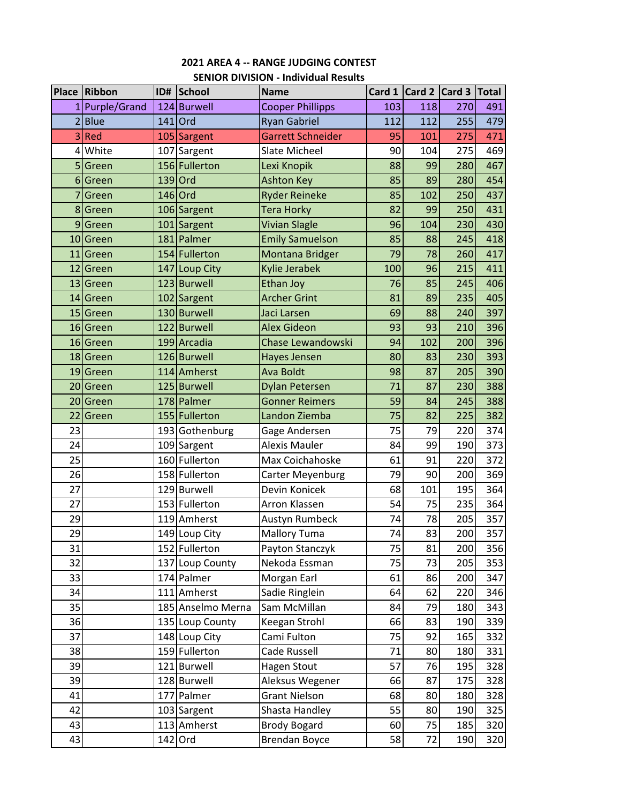|                | <b>Place Ribbon</b> | ID# | School                    | <b>SLIVION DIVISION - IIIGIVIGUAI NESUILS</b><br><b>Name</b> | Card 1   | Card 2 Card 3 |     | <b>Total</b> |
|----------------|---------------------|-----|---------------------------|--------------------------------------------------------------|----------|---------------|-----|--------------|
|                | 1 Purple/Grand      |     | 124 Burwell               | <b>Cooper Phillipps</b>                                      | 103      | 118           | 270 | 491          |
| $\overline{2}$ | <b>Blue</b>         |     | $141$ Ord                 | <b>Ryan Gabriel</b>                                          | 112      | 112           | 255 | 479          |
| 3              | Red                 |     | 105 Sargent               | <b>Garrett Schneider</b>                                     | 95       | 101           | 275 | 471          |
| 4              | White               | 107 | Sargent                   | Slate Micheel                                                | 90       | 104           | 275 | 469          |
| 5              | Green               |     | 156 Fullerton             | Lexi Knopik                                                  | 88       | 99            | 280 | 467          |
|                | 6 Green             |     | 139 Ord                   | <b>Ashton Key</b>                                            | 85       | 89            | 280 | 454          |
|                |                     |     | 146 Ord                   | <b>Ryder Reineke</b>                                         | 85       | 102           | 250 | 437          |
| 7              | Green<br>8 Green    |     |                           | <b>Tera Horky</b>                                            | 82       | 99            | 250 | 431          |
|                |                     |     | 106 Sargent               | <b>Vivian Slagle</b>                                         | 96       | 104           | 230 | 430          |
| 9              | Green               |     | 101 Sargent<br>181 Palmer |                                                              |          |               | 245 |              |
|                | 10 Green            |     | 154 Fullerton             | <b>Emily Samuelson</b>                                       | 85<br>79 | 88<br>78      | 260 | 418<br>417   |
|                | 11 Green            |     |                           | Montana Bridger                                              |          |               |     |              |
|                | 12 Green            |     | 147 Loup City             | Kylie Jerabek                                                | 100      | 96            | 215 | 411          |
|                | 13 Green            |     | 123 Burwell               | <b>Ethan Joy</b>                                             | 76       | 85            | 245 | 406          |
|                | 14 Green            |     | 102 Sargent               | <b>Archer Grint</b>                                          | 81       | 89            | 235 | 405          |
|                | 15 Green            |     | 130 Burwell               | Jaci Larsen                                                  | 69       | 88            | 240 | 397          |
|                | 16 Green            |     | 122 Burwell               | <b>Alex Gideon</b>                                           | 93       | 93            | 210 | 396          |
|                | 16 Green            |     | 199 Arcadia               | <b>Chase Lewandowski</b>                                     | 94       | 102           | 200 | 396          |
|                | 18 Green            |     | 126 Burwell               | Hayes Jensen                                                 | 80       | 83            | 230 | 393          |
|                | 19 Green            |     | 114 Amherst               | <b>Ava Boldt</b>                                             | 98       | 87            | 205 | 390          |
|                | 20 Green            |     | 125 Burwell               | <b>Dylan Petersen</b>                                        | 71       | 87            | 230 | 388          |
|                | 20 Green            |     | 178 Palmer                | <b>Gonner Reimers</b>                                        | 59       | 84            | 245 | 388          |
|                | 22 Green            |     | 155 Fullerton             | Landon Ziemba                                                | 75       | 82            | 225 | 382          |
| 23             |                     |     | 193 Gothenburg            | Gage Andersen                                                | 75       | 79            | 220 | 374          |
| 24             |                     |     | 109 Sargent               | <b>Alexis Mauler</b>                                         | 84       | 99            | 190 | 373          |
| 25             |                     |     | 160 Fullerton             | Max Coichahoske                                              | 61       | 91            | 220 | 372          |
| 26             |                     |     | 158 Fullerton             | Carter Meyenburg                                             | 79       | 90            | 200 | 369          |
| 27             |                     |     | 129 Burwell               | Devin Konicek                                                | 68       | 101           | 195 | 364          |
| 27             |                     |     | 153 Fullerton             | Arron Klassen                                                | 54       | 75            | 235 | 364          |
| 29             |                     |     | 119 Amherst               | Austyn Rumbeck                                               | 74       | 78            | 205 | 357          |
| 29             |                     |     | 149 Loup City             | Mallory Tuma                                                 | 74       | 83            | 200 | 357          |
| 31             |                     |     | 152 Fullerton             | Payton Stanczyk                                              | 75       | 81            | 200 | 356          |
| 32             |                     |     | 137 Loup County           | Nekoda Essman                                                | 75       | 73            | 205 | 353          |
| 33             |                     |     | 174 Palmer                | Morgan Earl                                                  | 61       | 86            | 200 | 347          |
| 34             |                     |     | 111 Amherst               | Sadie Ringlein                                               | 64       | 62            | 220 | 346          |
| 35             |                     |     | 185 Anselmo Merna         | Sam McMillan                                                 | 84       | 79            | 180 | 343          |
| 36             |                     |     | 135 Loup County           | Keegan Strohl                                                | 66       | 83            | 190 | 339          |
| 37             |                     |     | 148 Loup City             | Cami Fulton                                                  | 75       | 92            | 165 | 332          |
| 38             |                     |     | 159 Fullerton             | Cade Russell                                                 | 71       | 80            | 180 | 331          |
| 39             |                     |     | 121 Burwell               | <b>Hagen Stout</b>                                           | 57       | 76            | 195 | 328          |
| 39             |                     |     | 128 Burwell               | Aleksus Wegener                                              | 66       | 87            | 175 | 328          |
| 41             |                     |     | 177 Palmer                | <b>Grant Nielson</b>                                         | 68       | 80            | 180 | 328          |
| 42             |                     |     | 103 Sargent               | Shasta Handley                                               | 55       | 80            | 190 | 325          |
| 43             |                     |     | 113 Amherst               | <b>Brody Bogard</b>                                          | 60       | 75            | 185 | 320          |
| 43             |                     |     | 142 Ord                   | <b>Brendan Boyce</b>                                         | 58       | 72            | 190 | 320          |

#### **2021 AREA 4 ‐‐ RANGE JUDGING CONTEST SENIOR DIVISION ‐ Individual Results**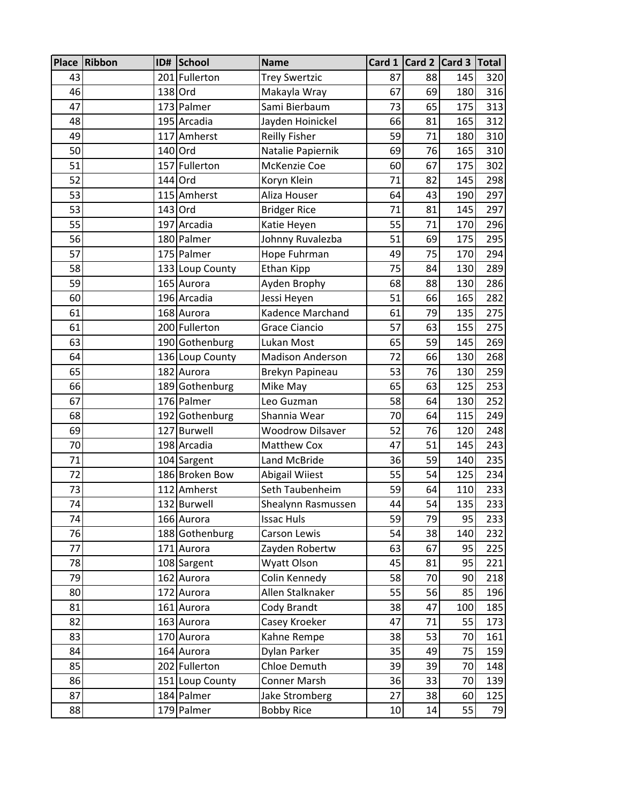|    | Place Ribbon |     | ID# School      | <b>Name</b>             |    |    | Card 1 Card 2 Card 3 Total |     |
|----|--------------|-----|-----------------|-------------------------|----|----|----------------------------|-----|
| 43 |              |     | 201 Fullerton   | <b>Trey Swertzic</b>    | 87 | 88 | 145                        | 320 |
| 46 |              |     | 138 Ord         | Makayla Wray            | 67 | 69 | 180                        | 316 |
| 47 |              |     | 173 Palmer      | Sami Bierbaum           | 73 | 65 | 175                        | 313 |
| 48 |              |     | 195 Arcadia     | Jayden Hoinickel        | 66 | 81 | 165                        | 312 |
| 49 |              | 117 | Amherst         | <b>Reilly Fisher</b>    | 59 | 71 | 180                        | 310 |
| 50 |              |     | 140 Ord         | Natalie Papiernik       | 69 | 76 | 165                        | 310 |
| 51 |              | 157 | Fullerton       | McKenzie Coe            | 60 | 67 | 175                        | 302 |
| 52 |              | 144 | Ord             | Koryn Klein             | 71 | 82 | 145                        | 298 |
| 53 |              |     | 115 Amherst     | Aliza Houser            | 64 | 43 | 190                        | 297 |
| 53 |              |     | 143 Ord         | <b>Bridger Rice</b>     | 71 | 81 | 145                        | 297 |
| 55 |              |     | 197 Arcadia     | Katie Heyen             | 55 | 71 | 170                        | 296 |
| 56 |              |     | 180 Palmer      | Johnny Ruvalezba        | 51 | 69 | 175                        | 295 |
| 57 |              |     | 175 Palmer      | Hope Fuhrman            | 49 | 75 | 170                        | 294 |
| 58 |              |     | 133 Loup County | <b>Ethan Kipp</b>       | 75 | 84 | 130                        | 289 |
| 59 |              |     | 165 Aurora      | Ayden Brophy            | 68 | 88 | 130                        | 286 |
| 60 |              |     | 196 Arcadia     | Jessi Heyen             | 51 | 66 | 165                        | 282 |
| 61 |              |     | 168 Aurora      | Kadence Marchand        | 61 | 79 | 135                        | 275 |
| 61 |              |     | 200 Fullerton   | <b>Grace Ciancio</b>    | 57 | 63 | 155                        | 275 |
| 63 |              |     | 190 Gothenburg  | Lukan Most              | 65 | 59 | 145                        | 269 |
| 64 |              |     | 136 Loup County | <b>Madison Anderson</b> | 72 | 66 | 130                        | 268 |
| 65 |              |     | 182 Aurora      | Brekyn Papineau         | 53 | 76 | 130                        | 259 |
| 66 |              |     | 189 Gothenburg  | Mike May                | 65 | 63 | 125                        | 253 |
| 67 |              |     | 176 Palmer      | Leo Guzman              | 58 | 64 | 130                        | 252 |
| 68 |              |     | 192 Gothenburg  | Shannia Wear            | 70 | 64 | 115                        | 249 |
| 69 |              |     | 127 Burwell     | <b>Woodrow Dilsaver</b> | 52 | 76 | 120                        | 248 |
| 70 |              |     | 198 Arcadia     | Matthew Cox             | 47 | 51 | 145                        | 243 |
| 71 |              |     | 104 Sargent     | Land McBride            | 36 | 59 | 140                        | 235 |
| 72 |              |     | 186 Broken Bow  | Abigail Wiiest          | 55 | 54 | 125                        | 234 |
| 73 |              |     | 112 Amherst     | Seth Taubenheim         | 59 | 64 | 110                        | 233 |
| 74 |              |     | 132 Burwell     | Shealynn Rasmussen      | 44 | 54 | 135                        | 233 |
| 74 |              |     | 166 Aurora      | <b>Issac Huls</b>       | 59 | 79 | 95                         | 233 |
| 76 |              |     | 188 Gothenburg  | Carson Lewis            | 54 | 38 | 140                        | 232 |
| 77 |              |     | 171 Aurora      | Zayden Robertw          | 63 | 67 | 95                         | 225 |
| 78 |              |     | 108 Sargent     | Wyatt Olson             | 45 | 81 | 95                         | 221 |
| 79 |              |     | 162 Aurora      | Colin Kennedy           | 58 | 70 | 90                         | 218 |
| 80 |              |     | 172 Aurora      | Allen Stalknaker        | 55 | 56 | 85                         | 196 |
| 81 |              |     | 161 Aurora      | Cody Brandt             | 38 | 47 | 100                        | 185 |
| 82 |              |     | 163 Aurora      | Casey Kroeker           | 47 | 71 | 55                         | 173 |
| 83 |              |     | 170 Aurora      | Kahne Rempe             | 38 | 53 | 70                         | 161 |
| 84 |              |     | 164 Aurora      | Dylan Parker            | 35 | 49 | 75                         | 159 |
| 85 |              |     | 202 Fullerton   | Chloe Demuth            | 39 | 39 | 70                         | 148 |
| 86 |              |     | 151 Loup County | Conner Marsh            | 36 | 33 | 70                         | 139 |
| 87 |              |     | 184 Palmer      | Jake Stromberg          | 27 | 38 | 60                         | 125 |
| 88 |              |     | 179 Palmer      | <b>Bobby Rice</b>       | 10 | 14 | 55                         | 79  |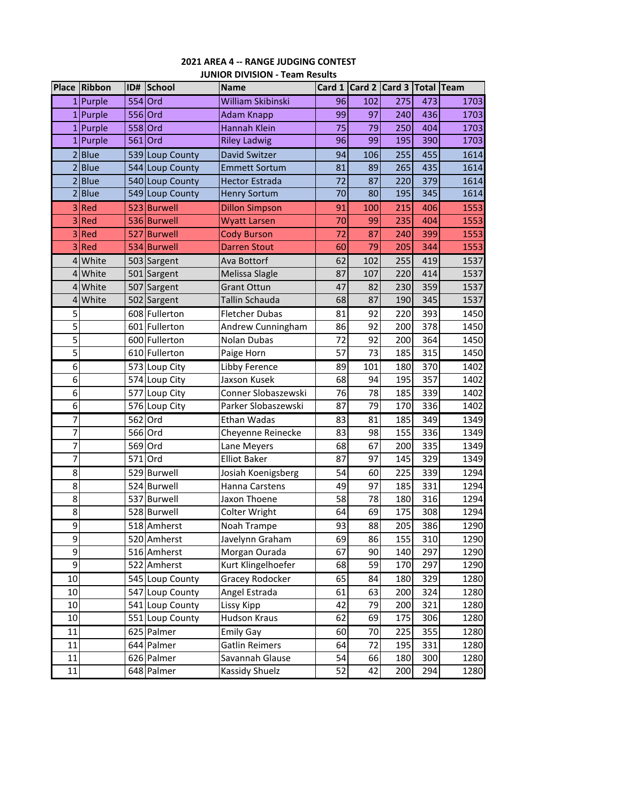# **2021 AREA 4 ‐‐ RANGE JUDGING CONTEST**

|                | Place Ribbon | ID#     | School          | <b>Name</b>           |    | Card $1$ Card 2 | Card 3 Total Team |     |      |
|----------------|--------------|---------|-----------------|-----------------------|----|-----------------|-------------------|-----|------|
|                | 1 Purple     | 554 Ord |                 | William Skibinski     | 96 | 102             | 275               | 473 | 1703 |
|                | 1 Purple     | 556 Ord |                 | <b>Adam Knapp</b>     | 99 | 97              | 240               | 436 | 1703 |
|                | 1 Purple     |         | 558 Ord         | <b>Hannah Klein</b>   | 75 | 79              | 250               | 404 | 1703 |
|                | 1 Purple     | 561     | Ord             | <b>Riley Ladwig</b>   | 96 | 99              | 195               | 390 | 1703 |
|                | $2$ Blue     |         | 539 Loup County | <b>David Switzer</b>  | 94 | 106             | 255               | 455 | 1614 |
|                | 2 Blue       |         | 544 Loup County | <b>Emmett Sortum</b>  | 81 | 89              | 265               | 435 | 1614 |
|                | 2 Blue       |         | 540 Loup County | <b>Hector Estrada</b> | 72 | 87              | 220               | 379 | 1614 |
|                | 2 Blue       |         | 549 Loup County | <b>Henry Sortum</b>   | 70 | 80              | 195               | 345 | 1614 |
|                | 3Red         |         | 523 Burwell     | <b>Dillon Simpson</b> | 91 | 100             | 215               | 406 | 1553 |
|                | 3Red         |         | 536 Burwell     | <b>Wyatt Larsen</b>   | 70 | 99              | 235               | 404 | 1553 |
|                | 3 Red        |         | 527 Burwell     | <b>Cody Burson</b>    | 72 | 87              | 240               | 399 | 1553 |
|                | 3 Red        |         | 534 Burwell     | <b>Darren Stout</b>   | 60 | 79              | 205               | 344 | 1553 |
|                | 4 White      |         | 503 Sargent     | Ava Bottorf           | 62 | 102             | 255               | 419 | 1537 |
|                | 4 White      |         | 501 Sargent     | Melissa Slagle        | 87 | 107             | 220               | 414 | 1537 |
|                | 4 White      |         | 507 Sargent     | <b>Grant Ottun</b>    | 47 | 82              | 230               | 359 | 1537 |
|                | 4 White      |         | 502 Sargent     | Tallin Schauda        | 68 | 87              | 190               | 345 | 1537 |
| 5              |              |         | 608 Fullerton   | <b>Fletcher Dubas</b> | 81 | 92              | 220               | 393 | 1450 |
| $\overline{5}$ |              |         | 601 Fullerton   | Andrew Cunningham     | 86 | 92              | 200               | 378 | 1450 |
| 5              |              |         | 600 Fullerton   | Nolan Dubas           | 72 | 92              | 200               | 364 | 1450 |
| 5              |              |         | 610 Fullerton   | Paige Horn            | 57 | 73              | 185               | 315 | 1450 |
| $\overline{6}$ |              |         | 573 Loup City   | Libby Ference         | 89 | 101             | 180               | 370 | 1402 |
| $\overline{6}$ |              |         | 574 Loup City   | Jaxson Kusek          | 68 | 94              | 195               | 357 | 1402 |
| 6              |              |         | 577 Loup City   | Conner Slobaszewski   | 76 | 78              | 185               | 339 | 1402 |
| $\overline{6}$ |              |         | 576 Loup City   | Parker Slobaszewski   | 87 | 79              | 170               | 336 | 1402 |
| 7              |              | 562 Ord |                 | Ethan Wadas           | 83 | 81              | 185               | 349 | 1349 |
| 7              |              | 566 Ord |                 | Cheyenne Reinecke     | 83 | 98              | 155               | 336 | 1349 |
| 7              |              | 569     | Ord             | Lane Meyers           | 68 | 67              | 200               | 335 | 1349 |
| $\overline{7}$ |              |         | 571 Ord         | <b>Elliot Baker</b>   | 87 | 97              | 145               | 329 | 1349 |
| 8              |              |         | 529 Burwell     | Josiah Koenigsberg    | 54 | 60              | 225               | 339 | 1294 |
| 8              |              |         | 524 Burwell     | Hanna Carstens        | 49 | 97              | 185               | 331 | 1294 |
| 8              |              |         | 537 Burwell     | Jaxon Thoene          | 58 | 78              | 180               | 316 | 1294 |
| $\overline{8}$ |              |         | 528 Burwell     | Colter Wright         | 64 | 69              | 175               | 308 | 1294 |
| 9              |              |         | 518 Amherst     | Noah Trampe           | 93 | 88              | 205               | 386 | 1290 |
| 9              |              |         | 520 Amherst     | Javelynn Graham       | 69 | 86              | 155               | 310 | 1290 |
| 9              |              |         | 516 Amherst     | Morgan Ourada         | 67 | 90              | 140               | 297 | 1290 |
| 9              |              |         | 522 Amherst     | Kurt Klingelhoefer    | 68 | 59              | 170               | 297 | 1290 |
| 10             |              |         | 545 Loup County | Gracey Rodocker       | 65 | 84              | 180               | 329 | 1280 |
| 10             |              |         | 547 Loup County | Angel Estrada         | 61 | 63              | 200               | 324 | 1280 |
| 10             |              |         | 541 Loup County | Lissy Kipp            | 42 | 79              | 200               | 321 | 1280 |
| 10             |              |         | 551 Loup County | <b>Hudson Kraus</b>   | 62 | 69              | 175               | 306 | 1280 |
| 11             |              |         | 625 Palmer      | <b>Emily Gay</b>      | 60 | 70              | 225               | 355 | 1280 |
| 11             |              |         | 644 Palmer      | Gatlin Reimers        | 64 | 72              | 195               | 331 | 1280 |
| 11             |              |         | 626 Palmer      | Savannah Glause       | 54 | 66              | 180               | 300 | 1280 |
| 11             |              |         | 648 Palmer      | Kassidy Shuelz        | 52 | 42              | 200               | 294 | 1280 |

#### **JUNIOR DIVISION ‐ Team Results**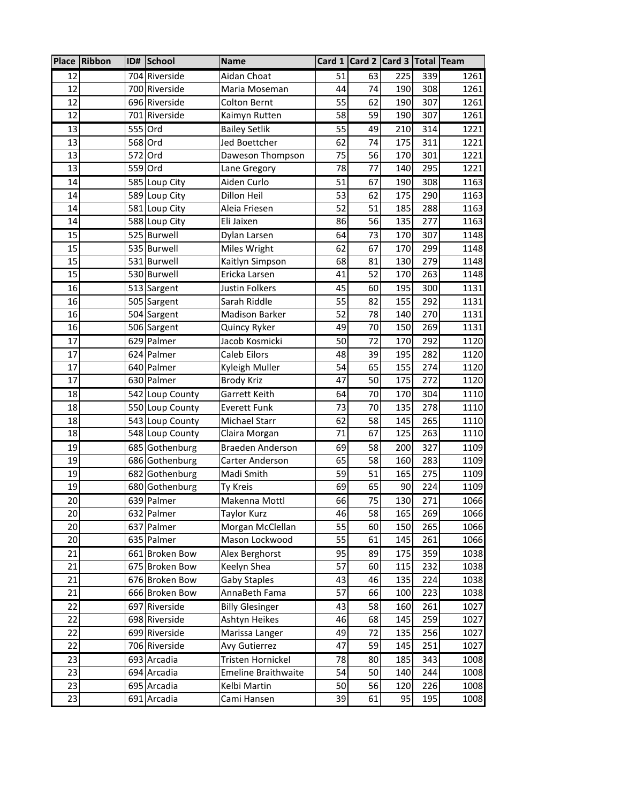|          | Place Ribbon | ID# | School                           | <b>Name</b>                        |          | Card 1 Card 2 Card 3 Total Team |            |            |              |
|----------|--------------|-----|----------------------------------|------------------------------------|----------|---------------------------------|------------|------------|--------------|
| 12       |              |     | 704 Riverside                    | Aidan Choat                        | 51       | 63                              | 225        | 339        | 1261         |
| 12       |              |     | 700 Riverside                    | Maria Moseman                      | 44       | 74                              | 190        | 308        | 1261         |
| 12       |              |     | 696 Riverside                    | <b>Colton Bernt</b>                | 55       | 62                              | 190        | 307        | 1261         |
| 12       |              |     | 701 Riverside                    | Kaimyn Rutten                      | 58       | 59                              | 190        | 307        | 1261         |
| 13       |              |     | 555 Ord                          | <b>Bailey Setlik</b>               | 55       | 49                              | 210        | 314        | 1221         |
| 13       |              |     | 568 Ord                          | Jed Boettcher                      | 62       | 74                              | 175        | 311        | 1221         |
| 13       |              |     | 572 Ord                          | Daweson Thompson                   | 75       | 56                              | 170        | 301        | 1221         |
| 13       |              |     | 559 Ord                          | Lane Gregory                       | 78       | 77                              | 140        | 295        | 1221         |
| 14       |              |     | 585 Loup City                    | Aiden Curlo                        | 51       | 67                              | 190        | 308        | 1163         |
| 14       |              |     | 589 Loup City                    | Dillon Heil                        | 53       | 62                              | 175        | 290        | 1163         |
| 14       |              |     | 581 Loup City                    | Aleia Friesen                      | 52       | 51                              | 185        | 288        | 1163         |
| 14       |              |     | 588 Loup City                    | Eli Jaixen                         | 86       | 56                              | 135        | 277        | 1163         |
| 15       |              |     | 525 Burwell                      | Dylan Larsen                       | 64       | 73                              | 170        | 307        | 1148         |
| 15       |              |     | 535 Burwell                      | Miles Wright                       | 62       | 67                              | 170        | 299        | 1148         |
| 15       |              |     | 531 Burwell                      | Kaitlyn Simpson                    | 68       | 81                              | 130        | 279        | 1148         |
| 15       |              |     | 530 Burwell                      | Ericka Larsen                      | 41       | 52                              | 170        | 263        | 1148         |
| 16       |              |     | 513 Sargent                      | Justin Folkers                     | 45       | 60                              | 195        | 300        | 1131         |
| 16       |              |     | 505 Sargent                      | Sarah Riddle                       | 55       | 82                              | 155        | 292        | 1131         |
| 16       |              |     | 504 Sargent                      | Madison Barker                     | 52       | 78                              | 140        | 270        | 1131         |
| 16       |              |     | 506 Sargent                      | Quincy Ryker                       | 49       | 70                              | 150        | 269        | 1131         |
| 17       |              |     | 629 Palmer                       | Jacob Kosmicki                     | 50       | 72                              | 170        | 292        | 1120         |
| 17       |              |     | 624 Palmer                       | Caleb Eilors                       | 48       | 39                              | 195        | 282        | 1120         |
| 17       |              |     | 640 Palmer                       | Kyleigh Muller                     | 54       | 65                              | 155        | 274        | 1120         |
| 17       |              |     | 630 Palmer                       | <b>Brody Kriz</b>                  | 47       | 50                              | 175        | 272        | 1120         |
| 18       |              |     | 542 Loup County                  | Garrett Keith                      | 64       | 70                              | 170        | 304        | 1110         |
| 18       |              |     | 550 Loup County                  | <b>Everett Funk</b>                | 73       | 70                              | 135        | 278        | 1110         |
| 18       |              |     | 543 Loup County                  | Michael Starr                      | 62       | 58                              | 145        | 265        | 1110         |
| 18       |              |     | 548 Loup County                  | Claira Morgan                      | 71       | 67                              | 125        | 263        | 1110         |
| 19       |              |     | 685 Gothenburg                   | Braeden Anderson                   | 69       | 58                              | 200        | 327        | 1109         |
| 19       |              |     | 686 Gothenburg                   | Carter Anderson                    | 65       | 58                              | 160        | 283        | 1109         |
| 19<br>19 |              |     | 682 Gothenburg                   | Madi Smith                         | 59<br>69 | 51<br>65                        | 165<br>90  | 275<br>224 | 1109<br>1109 |
|          |              |     | 680 Gothenburg                   | Ty Kreis                           |          |                                 |            |            |              |
| 20       |              |     | 639 Palmer                       | Makenna Mottl                      | 66       | 75                              | 130        | 271        | 1066         |
| 20       |              |     | 632 Palmer                       | <b>Taylor Kurz</b>                 | 46<br>55 | 58                              | 165        | 269        | 1066         |
| 20<br>20 |              |     | 637 Palmer<br>635 Palmer         | Morgan McClellan<br>Mason Lockwood | 55       | 60<br>61                        | 150<br>145 | 265<br>261 | 1066<br>1066 |
|          |              |     |                                  |                                    |          |                                 |            |            |              |
| 21<br>21 |              |     | 661 Broken Bow                   | Alex Berghorst                     | 95<br>57 | 89                              | 175        | 359<br>232 | 1038         |
| 21       |              |     | 675 Broken Bow<br>676 Broken Bow | Keelyn Shea                        | 43       | 60<br>46                        | 115<br>135 | 224        | 1038<br>1038 |
| 21       |              |     | 666 Broken Bow                   | Gaby Staples<br>AnnaBeth Fama      | 57       | 66                              | 100        | 223        | 1038         |
| 22       |              |     | 697 Riverside                    | <b>Billy Glesinger</b>             | 43       | 58                              | 160        | 261        | 1027         |
| 22       |              |     | 698 Riverside                    | Ashtyn Heikes                      | 46       | 68                              | 145        | 259        | 1027         |
| 22       |              |     | 699 Riverside                    | Marissa Langer                     | 49       | 72                              | 135        | 256        | 1027         |
| 22       |              |     | 706 Riverside                    | Avy Gutierrez                      | 47       | 59                              | 145        | 251        | 1027         |
| 23       |              |     | 693 Arcadia                      | Tristen Hornickel                  | 78       | 80                              | 185        | 343        | 1008         |
| 23       |              |     | 694 Arcadia                      | <b>Emeline Braithwaite</b>         | 54       | 50                              | 140        | 244        | 1008         |
| 23       |              |     | 695 Arcadia                      | Kelbi Martin                       | 50       | 56                              | 120        | 226        | 1008         |
| 23       |              |     | 691 Arcadia                      | Cami Hansen                        | 39       | 61                              | 95         | 195        | 1008         |
|          |              |     |                                  |                                    |          |                                 |            |            |              |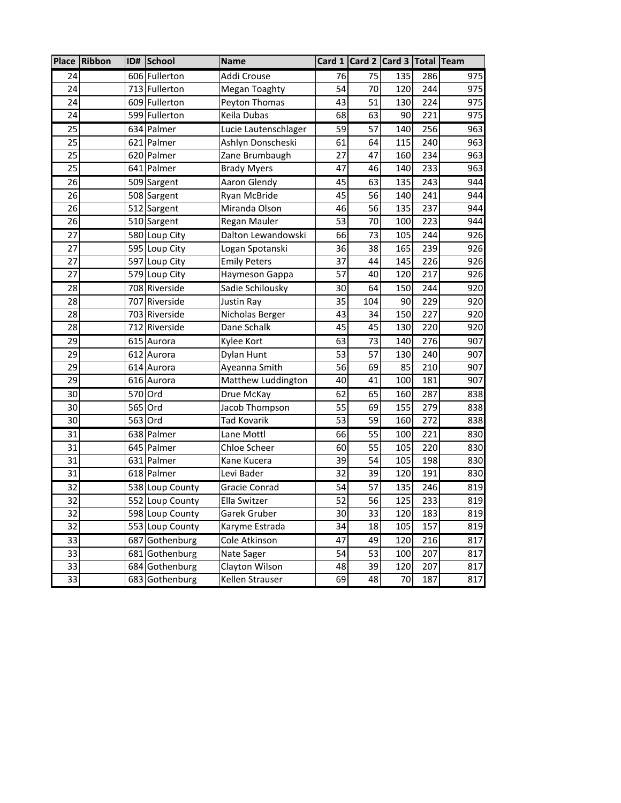|    | Place Ribbon | ID#     | School          | <b>Name</b>          |                 |                 | Card 1 Card 2 Card 3 Total Team |     |     |
|----|--------------|---------|-----------------|----------------------|-----------------|-----------------|---------------------------------|-----|-----|
| 24 |              |         | 606 Fullerton   | Addi Crouse          | 76              | $\overline{75}$ | 135                             | 286 | 975 |
| 24 |              |         | 713 Fullerton   | Megan Toaghty        | 54              | 70              | 120                             | 244 | 975 |
| 24 |              |         | 609 Fullerton   | Peyton Thomas        | 43              | 51              | 130                             | 224 | 975 |
| 24 |              |         | 599 Fullerton   | Keila Dubas          | 68              | 63              | 90                              | 221 | 975 |
| 25 |              |         | 634 Palmer      | Lucie Lautenschlager | 59              | 57              | 140                             | 256 | 963 |
| 25 |              |         | 621 Palmer      | Ashlyn Donscheski    | 61              | 64              | 115                             | 240 | 963 |
| 25 |              |         | 620 Palmer      | Zane Brumbaugh       | 27              | 47              | 160                             | 234 | 963 |
| 25 |              |         | 641 Palmer      | <b>Brady Myers</b>   | 47              | 46              | 140                             | 233 | 963 |
| 26 |              |         | 509 Sargent     | Aaron Glendy         | 45              | 63              | 135                             | 243 | 944 |
| 26 |              |         | 508 Sargent     | Ryan McBride         | 45              | 56              | 140                             | 241 | 944 |
| 26 |              |         | 512 Sargent     | Miranda Olson        | 46              | 56              | 135                             | 237 | 944 |
| 26 |              |         | 510 Sargent     | Regan Mauler         | 53              | 70              | 100                             | 223 | 944 |
| 27 |              |         | 580 Loup City   | Dalton Lewandowski   | 66              | 73              | 105                             | 244 | 926 |
| 27 |              |         | 595 Loup City   | Logan Spotanski      | 36              | 38              | 165                             | 239 | 926 |
| 27 |              |         | 597 Loup City   | <b>Emily Peters</b>  | 37              | 44              | 145                             | 226 | 926 |
| 27 |              |         | 579 Loup City   | Haymeson Gappa       | 57              | 40              | 120                             | 217 | 926 |
| 28 |              |         | 708 Riverside   | Sadie Schilousky     | 30              | 64              | 150                             | 244 | 920 |
| 28 |              |         | 707 Riverside   | Justin Ray           | 35              | 104             | 90                              | 229 | 920 |
| 28 |              |         | 703 Riverside   | Nicholas Berger      | 43              | 34              | 150                             | 227 | 920 |
| 28 |              |         | 712 Riverside   | Dane Schalk          | 45              | 45              | 130                             | 220 | 920 |
| 29 |              |         | 615 Aurora      | Kylee Kort           | 63              | 73              | 140                             | 276 | 907 |
| 29 |              |         | 612 Aurora      | Dylan Hunt           | 53              | 57              | 130                             | 240 | 907 |
| 29 |              |         | 614 Aurora      | Ayeanna Smith        | 56              | 69              | 85                              | 210 | 907 |
| 29 |              |         | 616 Aurora      | Matthew Luddington   | 40              | 41              | 100                             | 181 | 907 |
| 30 |              | 570 Ord |                 | Drue McKay           | 62              | 65              | 160                             | 287 | 838 |
| 30 |              | 565 Ord |                 | Jacob Thompson       | 55              | 69              | 155                             | 279 | 838 |
| 30 |              | 563 Ord |                 | <b>Tad Kovarik</b>   | 53              | 59              | 160                             | 272 | 838 |
| 31 |              |         | 638 Palmer      | Lane Mottl           | 66              | 55              | 100                             | 221 | 830 |
| 31 |              |         | 645 Palmer      | Chloe Scheer         | 60              | 55              | 105                             | 220 | 830 |
| 31 |              |         | 631 Palmer      | Kane Kucera          | 39              | 54              | 105                             | 198 | 830 |
| 31 |              |         | 618 Palmer      | Levi Bader           | 32              | 39              | 120                             | 191 | 830 |
| 32 |              |         | 538 Loup County | Gracie Conrad        | 54              | 57              | 135                             | 246 | 819 |
| 32 |              |         | 552 Loup County | Ella Switzer         | $\overline{52}$ | 56              | 125                             | 233 | 819 |
| 32 |              |         | 598 Loup County | Garek Gruber         | 30              | 33              | 120                             | 183 | 819 |
| 32 |              |         | 553 Loup County | Karyme Estrada       | 34              | 18              | 105                             | 157 | 819 |
| 33 |              |         | 687 Gothenburg  | Cole Atkinson        | 47              | 49              | 120                             | 216 | 817 |
| 33 |              |         | 681 Gothenburg  | Nate Sager           | 54              | 53              | 100                             | 207 | 817 |
| 33 |              |         | 684 Gothenburg  | Clayton Wilson       | 48              | 39              | 120                             | 207 | 817 |
| 33 |              |         | 683 Gothenburg  | Kellen Strauser      | 69              | 48              | 70                              | 187 | 817 |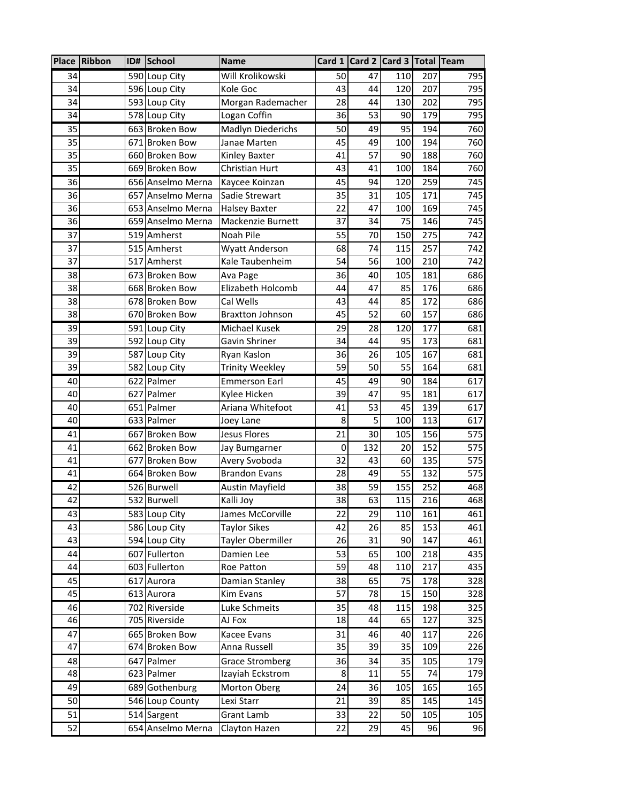|    | Place Ribbon | ID# | School            | <b>Name</b>             | Card $1$ |     | Card 2 Card 3 Total Team |     |     |
|----|--------------|-----|-------------------|-------------------------|----------|-----|--------------------------|-----|-----|
| 34 |              |     | 590 Loup City     | Will Krolikowski        | 50       | 47  | 110                      | 207 | 795 |
| 34 |              |     | 596 Loup City     | Kole Goc                | 43       | 44  | 120                      | 207 | 795 |
| 34 |              |     | 593 Loup City     | Morgan Rademacher       | 28       | 44  | 130                      | 202 | 795 |
| 34 |              |     | 578 Loup City     | Logan Coffin            | 36       | 53  | 90                       | 179 | 795 |
| 35 |              |     | 663 Broken Bow    | Madlyn Diederichs       | 50       | 49  | 95                       | 194 | 760 |
| 35 |              |     | 671 Broken Bow    | Janae Marten            | 45       | 49  | 100                      | 194 | 760 |
| 35 |              |     | 660 Broken Bow    | Kinley Baxter           | 41       | 57  | 90                       | 188 | 760 |
| 35 |              |     | 669 Broken Bow    | Christian Hurt          | 43       | 41  | 100                      | 184 | 760 |
| 36 |              |     | 656 Anselmo Merna | Kaycee Koinzan          | 45       | 94  | 120                      | 259 | 745 |
| 36 |              |     | 657 Anselmo Merna | Sadie Strewart          | 35       | 31  | 105                      | 171 | 745 |
| 36 |              |     | 653 Anselmo Merna | <b>Halsey Baxter</b>    | 22       | 47  | 100                      | 169 | 745 |
| 36 |              |     | 659 Anselmo Merna | Mackenzie Burnett       | 37       | 34  | 75                       | 146 | 745 |
| 37 |              |     | 519 Amherst       | Noah Pile               | 55       | 70  | 150                      | 275 | 742 |
| 37 |              |     | 515 Amherst       | <b>Wyatt Anderson</b>   | 68       | 74  | 115                      | 257 | 742 |
| 37 |              |     | 517 Amherst       | Kale Taubenheim         | 54       | 56  | 100                      | 210 | 742 |
| 38 |              |     | 673 Broken Bow    | Ava Page                | 36       | 40  | 105                      | 181 | 686 |
| 38 |              |     | 668 Broken Bow    | Elizabeth Holcomb       | 44       | 47  | 85                       | 176 | 686 |
| 38 |              |     | 678 Broken Bow    | Cal Wells               | 43       | 44  | 85                       | 172 | 686 |
| 38 |              |     | 670 Broken Bow    | <b>Braxtton Johnson</b> | 45       | 52  | 60                       | 157 | 686 |
| 39 |              |     | 591 Loup City     | Michael Kusek           | 29       | 28  | 120                      | 177 | 681 |
| 39 |              |     | 592 Loup City     | Gavin Shriner           | 34       | 44  | 95                       | 173 | 681 |
| 39 |              |     | 587 Loup City     | Ryan Kaslon             | 36       | 26  | 105                      | 167 | 681 |
| 39 |              |     | 582 Loup City     | <b>Trinity Weekley</b>  | 59       | 50  | 55                       | 164 | 681 |
| 40 |              |     | 622 Palmer        | <b>Emmerson Earl</b>    | 45       | 49  | 90                       | 184 | 617 |
| 40 |              |     | 627 Palmer        | Kylee Hicken            | 39       | 47  | 95                       | 181 | 617 |
| 40 |              |     | 651 Palmer        | Ariana Whitefoot        | 41       | 53  | 45                       | 139 | 617 |
| 40 |              |     | 633 Palmer        | Joey Lane               | 8        | 5   | 100                      | 113 | 617 |
| 41 |              |     | 667 Broken Bow    | <b>Jesus Flores</b>     | 21       | 30  | 105                      | 156 | 575 |
| 41 |              |     | 662 Broken Bow    | Jay Bumgarner           | 0        | 132 | 20                       | 152 | 575 |
| 41 |              |     | 677 Broken Bow    | Avery Svoboda           | 32       | 43  | 60                       | 135 | 575 |
| 41 |              |     | 664 Broken Bow    | <b>Brandon Evans</b>    | 28       | 49  | 55                       | 132 | 575 |
| 42 |              |     | 526 Burwell       | <b>Austin Mayfield</b>  | 38       | 59  | 155                      | 252 | 468 |
| 42 |              |     | 532 Burwell       | Kalli Joy               | 38       | 63  | 115                      | 216 | 468 |
| 43 |              |     | 583 Loup City     | James McCorville        | 22       | 29  | 110                      | 161 | 461 |
| 43 |              |     | 586 Loup City     | <b>Taylor Sikes</b>     | 42       | 26  | 85                       | 153 | 461 |
| 43 |              |     | 594 Loup City     | Tayler Obermiller       | 26       | 31  | 90                       | 147 | 461 |
| 44 |              |     | 607 Fullerton     | Damien Lee              | 53       | 65  | 100                      | 218 | 435 |
| 44 |              |     | 603 Fullerton     | Roe Patton              | 59       | 48  | 110                      | 217 | 435 |
| 45 |              |     | 617 Aurora        | Damian Stanley          | 38       | 65  | 75                       | 178 | 328 |
| 45 |              |     | 613 Aurora        | <b>Kim Evans</b>        | 57       | 78  | 15                       | 150 | 328 |
| 46 |              |     | 702 Riverside     | Luke Schmeits           | 35       | 48  | 115                      | 198 | 325 |
| 46 |              |     | 705 Riverside     | AJ Fox                  | 18       | 44  | 65                       | 127 | 325 |
| 47 |              |     | 665 Broken Bow    | Kacee Evans             | 31       | 46  | 40                       | 117 | 226 |
| 47 |              |     | 674 Broken Bow    | Anna Russell            | 35       | 39  | 35                       | 109 | 226 |
| 48 |              |     | 647 Palmer        | Grace Stromberg         | 36       | 34  | 35                       | 105 | 179 |
| 48 |              |     | 623 Palmer        | Izayiah Eckstrom        | 8        | 11  | 55                       | 74  | 179 |
| 49 |              |     | 689 Gothenburg    | Morton Oberg            | 24       | 36  | 105                      | 165 | 165 |
| 50 |              |     | 546 Loup County   | Lexi Starr              | 21       | 39  | 85                       | 145 | 145 |
| 51 |              |     | 514 Sargent       | Grant Lamb              | 33       | 22  | 50                       | 105 | 105 |
| 52 |              |     | 654 Anselmo Merna | Clayton Hazen           | 22       | 29  | 45                       | 96  | 96  |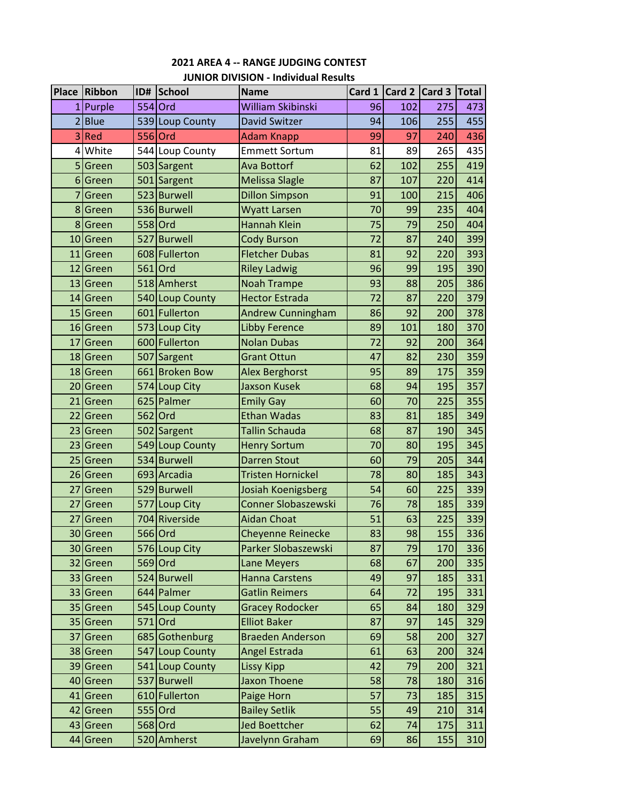|                 | Place Ribbon | ,,,,,,,,,,,,,,,,,,,,,<br>ID# School | <b>Name</b>                | Card 1 |     | Card 2 Card 3 Total |     |
|-----------------|--------------|-------------------------------------|----------------------------|--------|-----|---------------------|-----|
| 1               | Purple       | 554 Ord                             | William Skibinski          | 96     | 102 | 275                 | 473 |
| $\overline{2}$  | <b>Blue</b>  | 539 Loup County                     | <b>David Switzer</b>       | 94     | 106 | 255                 | 455 |
| 3               | Red          | 556 Ord                             | <b>Adam Knapp</b>          | 99     | 97  | 240                 | 436 |
|                 | 4 White      | 544 Loup County                     | <b>Emmett Sortum</b>       | 81     | 89  | 265                 | 435 |
| 5               | Green        | 503 Sargent                         | Ava Bottorf                | 62     | 102 | 255                 | 419 |
|                 | 6 Green      | 501 Sargent                         | <b>Melissa Slagle</b>      | 87     | 107 | 220                 | 414 |
| $\overline{7}$  | Green        | 523 Burwell                         | <b>Dillon Simpson</b>      | 91     | 100 | 215                 | 406 |
|                 | 8 Green      | 536 Burwell                         | Wyatt Larsen               | 70     | 99  | 235                 | 404 |
|                 | 8 Green      | 558 Ord                             | <b>Hannah Klein</b>        | 75     | 79  | 250                 | 404 |
|                 | 10 Green     | 527 Burwell                         | <b>Cody Burson</b>         | 72     | 87  | 240                 | 399 |
|                 | 11 Green     | 608 Fullerton                       | <b>Fletcher Dubas</b>      | 81     | 92  | 220                 | 393 |
|                 | 12 Green     | 561 Ord                             | <b>Riley Ladwig</b>        | 96     | 99  | 195                 | 390 |
|                 | 13 Green     | 518 Amherst                         | <b>Noah Trampe</b>         | 93     | 88  | 205                 | 386 |
|                 | 14 Green     | 540 Loup County                     | <b>Hector Estrada</b>      | 72     | 87  | 220                 | 379 |
|                 | 15 Green     | 601 Fullerton                       | <b>Andrew Cunningham</b>   | 86     | 92  | 200                 | 378 |
|                 | 16 Green     | 573 Loup City                       | <b>Libby Ference</b>       | 89     | 101 | 180                 | 370 |
| 17 <sup>1</sup> | Green        | 600 Fullerton                       | <b>Nolan Dubas</b>         | 72     | 92  | 200                 | 364 |
|                 | 18 Green     | 507 Sargent                         | <b>Grant Ottun</b>         | 47     | 82  | 230                 | 359 |
|                 | 18 Green     | 661 Broken Bow                      | <b>Alex Berghorst</b>      | 95     | 89  | 175                 | 359 |
|                 | 20 Green     | 574 Loup City                       | <b>Jaxson Kusek</b>        | 68     | 94  | 195                 | 357 |
|                 | 21 Green     | 625 Palmer                          | <b>Emily Gay</b>           | 60     | 70  | 225                 | 355 |
|                 | 22 Green     | 562 Ord                             | <b>Ethan Wadas</b>         | 83     | 81  | 185                 | 349 |
|                 | 23 Green     | 502 Sargent                         | Tallin Schauda             | 68     | 87  | 190                 | 345 |
|                 | 23 Green     | 549 Loup County                     | <b>Henry Sortum</b>        | 70     | 80  | 195                 | 345 |
|                 | 25 Green     | 534 Burwell                         | <b>Darren Stout</b>        | 60     | 79  | 205                 | 344 |
|                 | 26 Green     | 693 Arcadia                         | Tristen Hornickel          | 78     | 80  | 185                 | 343 |
| 27              | Green        | 529 Burwell                         | Josiah Koenigsberg         | 54     | 60  | 225                 | 339 |
| 27              | Green        | 577 Loup City                       | <b>Conner Slobaszewski</b> | 76     | 78  | 185                 | 339 |
| 27              | Green        | 704 Riverside                       | Aidan Choat                | 51     | 63  | 225                 | 339 |
|                 | 30 Green     | 566 Ord                             | Cheyenne Reinecke          | 83     | 98  | 155                 | 336 |
|                 | 30 Green     | 576 Loup City                       | Parker Slobaszewski        | 87     | 79  | 170                 | 336 |
|                 | 32 Green     | 569 Ord                             | Lane Meyers                | 68     | 67  | 200                 | 335 |
|                 | 33 Green     | 524 Burwell                         | <b>Hanna Carstens</b>      | 49     | 97  | 185                 | 331 |
|                 | 33 Green     | 644 Palmer                          | <b>Gatlin Reimers</b>      | 64     | 72  | 195                 | 331 |
|                 | 35 Green     | 545 Loup County                     | <b>Gracey Rodocker</b>     | 65     | 84  | 180                 | 329 |
|                 | 35 Green     | 571 Ord                             | <b>Elliot Baker</b>        | 87     | 97  | 145                 | 329 |
|                 | 37 Green     | 685 Gothenburg                      | <b>Braeden Anderson</b>    | 69     | 58  | 200                 | 327 |
|                 | 38 Green     | 547 Loup County                     | Angel Estrada              | 61     | 63  | 200                 | 324 |
|                 | 39 Green     | 541 Loup County                     | <b>Lissy Kipp</b>          | 42     | 79  | 200                 | 321 |
|                 | 40 Green     | 537 Burwell                         | <b>Jaxon Thoene</b>        | 58     | 78  | 180                 | 316 |
|                 | 41 Green     | 610 Fullerton                       | Paige Horn                 | 57     | 73  | 185                 | 315 |
|                 | 42 Green     | 555 Ord                             | <b>Bailey Setlik</b>       | 55     | 49  | 210                 | 314 |
|                 | 43 Green     | 568 Ord                             | <b>Jed Boettcher</b>       | 62     | 74  | 175                 | 311 |
|                 | 44 Green     | 520 Amherst                         | Javelynn Graham            | 69     | 86  | 155                 | 310 |

### **2021 AREA 4 ‐‐ RANGE JUDGING CONTEST JUNIOR DIVISION ‐ Individual Results**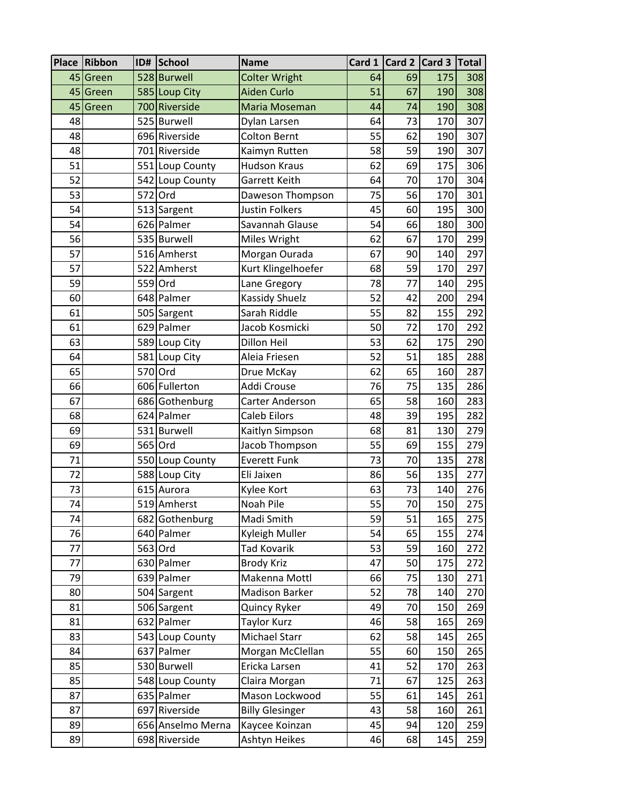|          | Place Ribbon | ID# School                       | <b>Name</b>                           |          | Card 1 Card 2 Card 3 |            | Total      |
|----------|--------------|----------------------------------|---------------------------------------|----------|----------------------|------------|------------|
|          | 45 Green     | 528 Burwell                      | <b>Colter Wright</b>                  | 64       | 69                   | 175        | 308        |
| 45       | Green        | 585 Loup City                    | <b>Aiden Curlo</b>                    | 51       | 67                   | 190        | 308        |
| 45       | Green        | 700 Riverside                    | Maria Moseman                         | 44       | 74                   | 190        | 308        |
| 48       |              | 525 Burwell                      | Dylan Larsen                          | 64       | 73                   | 170        | 307        |
| 48       |              | 696 Riverside                    | <b>Colton Bernt</b>                   | 55       | 62                   | 190        | 307        |
| 48       |              | 701 Riverside                    | Kaimyn Rutten                         | 58       | 59                   | 190        | 307        |
| 51       |              | 551 Loup County                  | <b>Hudson Kraus</b>                   | 62       | 69                   | 175        | 306        |
| 52       |              | 542 Loup County                  | Garrett Keith                         | 64       | 70                   | 170        | 304        |
| 53       |              | 572 Ord                          | Daweson Thompson                      | 75       | 56                   | 170        | 301        |
| 54       |              | 513 Sargent                      | Justin Folkers                        | 45       | 60                   | 195        | 300        |
| 54       |              | 626 Palmer                       | Savannah Glause                       | 54       | 66                   | 180        | 300        |
| 56       |              | 535 Burwell                      | Miles Wright                          | 62       | 67                   | 170        | 299        |
| 57       |              | 516 Amherst                      | Morgan Ourada                         | 67       | 90                   | 140        | 297        |
| 57       |              | 522 Amherst                      | Kurt Klingelhoefer                    | 68       | 59                   | 170        | 297        |
| 59       |              | 559 Ord                          | Lane Gregory                          | 78       | 77                   | 140        | 295        |
| 60       |              | 648 Palmer                       | <b>Kassidy Shuelz</b>                 | 52       | 42                   | 200        | 294        |
| 61       |              | 505 Sargent                      | Sarah Riddle                          | 55       | 82                   | 155        | 292        |
| 61       |              | 629 Palmer                       | Jacob Kosmicki                        | 50       | 72                   | 170        | 292        |
| 63       |              | 589 Loup City                    | Dillon Heil                           | 53       | 62                   | 175        | 290        |
| 64       |              | 581 Loup City                    | Aleia Friesen                         | 52       | 51                   | 185        | 288        |
| 65       |              | 570 Ord                          | Drue McKay                            | 62       | 65                   | 160        | 287        |
| 66       |              | 606 Fullerton                    | Addi Crouse                           | 76       | 75                   | 135        | 286        |
| 67       |              | 686 Gothenburg                   | Carter Anderson                       | 65       | 58                   | 160        | 283        |
| 68       |              | 624 Palmer                       | <b>Caleb Eilors</b>                   | 48       | 39                   | 195        | 282        |
| 69       |              | 531 Burwell<br>565 Ord           | Kaitlyn Simpson                       | 68       | 81                   | 130        | 279        |
| 69<br>71 |              |                                  | Jacob Thompson<br><b>Everett Funk</b> | 55<br>73 | 69<br>70             | 155<br>135 | 279        |
| 72       |              | 550 Loup County<br>588 Loup City | Eli Jaixen                            | 86       | 56                   | 135        | 278<br>277 |
| 73       |              | 615 Aurora                       | Kylee Kort                            | 63       | 73                   | 140        | 276        |
| 74       |              | 519 Amherst                      | Noah Pile                             | 55       | 70                   | 150        | 275        |
| 74       |              | 682 Gothenburg                   | Madi Smith                            | 59       | 51                   | 165        | 275        |
| 76       |              | 640 Palmer                       | Kyleigh Muller                        | 54       | 65                   | 155        | 274        |
| 77       |              | 563 Ord                          | <b>Tad Kovarik</b>                    | 53       | 59                   | 160        | 272        |
| 77       |              | 630 Palmer                       | <b>Brody Kriz</b>                     | 47       | 50                   | 175        | 272        |
| 79       |              | 639 Palmer                       | Makenna Mottl                         | 66       | 75                   | 130        | 271        |
| 80       |              | 504 Sargent                      | <b>Madison Barker</b>                 | 52       | 78                   | 140        | 270        |
| 81       |              | 506 Sargent                      | Quincy Ryker                          | 49       | 70                   | 150        | 269        |
| 81       |              | 632 Palmer                       | Taylor Kurz                           | 46       | 58                   | 165        | 269        |
| 83       |              | 543 Loup County                  | Michael Starr                         | 62       | 58                   | 145        | 265        |
| 84       |              | 637 Palmer                       | Morgan McClellan                      | 55       | 60                   | 150        | 265        |
| 85       |              | 530 Burwell                      | Ericka Larsen                         | 41       | 52                   | 170        | 263        |
| 85       |              | 548 Loup County                  | Claira Morgan                         | 71       | 67                   | 125        | 263        |
| 87       |              | 635 Palmer                       | Mason Lockwood                        | 55       | 61                   | 145        | 261        |
| 87       |              | 697 Riverside                    | <b>Billy Glesinger</b>                | 43       | 58                   | 160        | 261        |
| 89       |              | 656 Anselmo Merna                | Kaycee Koinzan                        | 45       | 94                   | 120        | 259        |
| 89       |              | 698 Riverside                    | Ashtyn Heikes                         | 46       | 68                   | 145        | 259        |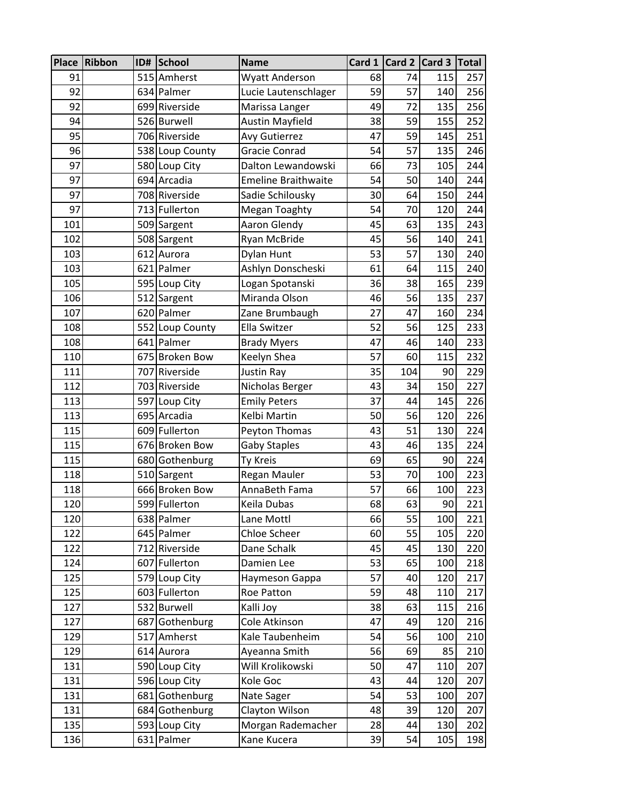| Place      | Ribbon | ID# School                   | <b>Name</b>                |          | Card 1 $\vert$ Card 2 $\vert$ Card 3 |            | Total      |
|------------|--------|------------------------------|----------------------------|----------|--------------------------------------|------------|------------|
| 91         |        | 515 Amherst                  | Wyatt Anderson             | 68       | 74                                   | 115        | 257        |
| 92         |        | 634 Palmer                   | Lucie Lautenschlager       | 59       | 57                                   | 140        | 256        |
| 92         |        | 699 Riverside                | Marissa Langer             | 49       | 72                                   | 135        | 256        |
| 94         |        | 526 Burwell                  | <b>Austin Mayfield</b>     | 38       | 59                                   | 155        | 252        |
| 95         |        | 706 Riverside                | <b>Avy Gutierrez</b>       | 47       | 59                                   | 145        | 251        |
| 96         |        | 538 Loup County              | Gracie Conrad              | 54       | 57                                   | 135        | 246        |
| 97         |        | 580 Loup City                | Dalton Lewandowski         | 66       | 73                                   | 105        | 244        |
| 97         |        | 694 Arcadia                  | <b>Emeline Braithwaite</b> | 54       | 50                                   | 140        | 244        |
| 97         |        | 708 Riverside                | Sadie Schilousky           | 30       | 64                                   | 150        | 244        |
| 97         |        | 713 Fullerton                | Megan Toaghty              | 54       | 70                                   | 120        | 244        |
| 101        |        | 509 Sargent                  | Aaron Glendy               | 45       | 63                                   | 135        | 243        |
| 102        |        | 508 Sargent                  | Ryan McBride               | 45       | 56                                   | 140        | 241        |
| 103        |        | 612 Aurora                   | Dylan Hunt                 | 53       | 57                                   | 130        | 240        |
| 103        |        | 621 Palmer                   | Ashlyn Donscheski          | 61       | 64                                   | 115        | 240        |
| 105        |        | 595 Loup City                | Logan Spotanski            | 36       | 38                                   | 165        | 239        |
| 106        |        | 512 Sargent                  | Miranda Olson              | 46       | 56                                   | 135        | 237        |
| 107        |        | 620 Palmer                   | Zane Brumbaugh             | 27       | 47                                   | 160        | 234        |
| 108        |        | 552 Loup County              | Ella Switzer               | 52       | 56                                   | 125        | 233        |
| 108        |        | 641 Palmer                   | <b>Brady Myers</b>         | 47       | 46                                   | 140        | 233        |
| 110        |        | 675 Broken Bow               | Keelyn Shea                | 57       | 60                                   | 115        | 232        |
| 111        |        | 707 Riverside                | Justin Ray                 | 35       | 104                                  | 90         | 229        |
| 112        |        | 703 Riverside                | Nicholas Berger            | 43       | 34                                   | 150        | 227        |
| 113        |        | 597 Loup City                | <b>Emily Peters</b>        | 37       | 44                                   | 145        | 226        |
| 113<br>115 |        | 695 Arcadia<br>609 Fullerton | Kelbi Martin               | 50       | 56<br>51                             | 120        | 226        |
| 115        |        | 676 Broken Bow               | Peyton Thomas              | 43<br>43 | 46                                   | 130<br>135 | 224<br>224 |
| 115        |        | 680 Gothenburg               | <b>Gaby Staples</b>        | 69       | 65                                   | 90         | 224        |
| 118        |        | 510 Sargent                  | Ty Kreis<br>Regan Mauler   | 53       | 70                                   | 100        | 223        |
| 118        |        | 666 Broken Bow               | AnnaBeth Fama              | 57       | 66                                   | 100        | 223        |
| 120        |        | 599 Fullerton                | Keila Dubas                | 68       | 63                                   | 90         | 221        |
| 120        |        | 638 Palmer                   | Lane Mottl                 | 66       | 55                                   | 100        | 221        |
| 122        |        | 645 Palmer                   | Chloe Scheer               | 60       | 55                                   | 105        | 220        |
| 122        |        | 712 Riverside                | Dane Schalk                | 45       | 45                                   | 130        | 220        |
| 124        |        | 607 Fullerton                | Damien Lee                 | 53       | 65                                   | 100        | 218        |
| 125        |        | 579 Loup City                | Haymeson Gappa             | 57       | 40                                   | 120        | 217        |
| 125        |        | 603 Fullerton                | Roe Patton                 | 59       | 48                                   | 110        | 217        |
| 127        |        | 532 Burwell                  | Kalli Joy                  | 38       | 63                                   | 115        | 216        |
| 127        |        | 687 Gothenburg               | Cole Atkinson              | 47       | 49                                   | 120        | 216        |
| 129        |        | 517 Amherst                  | Kale Taubenheim            | 54       | 56                                   | 100        | 210        |
| 129        |        | 614 Aurora                   | Ayeanna Smith              | 56       | 69                                   | 85         | 210        |
| 131        |        | 590 Loup City                | Will Krolikowski           | 50       | 47                                   | 110        | 207        |
| 131        |        | 596 Loup City                | Kole Goc                   | 43       | 44                                   | 120        | 207        |
| 131        |        | 681 Gothenburg               | Nate Sager                 | 54       | 53                                   | 100        | 207        |
| 131        |        | 684 Gothenburg               | Clayton Wilson             | 48       | 39                                   | 120        | 207        |
| 135        |        | 593 Loup City                | Morgan Rademacher          | 28       | 44                                   | 130        | 202        |
| 136        |        | 631 Palmer                   | Kane Kucera                | 39       | 54                                   | 105        | 198        |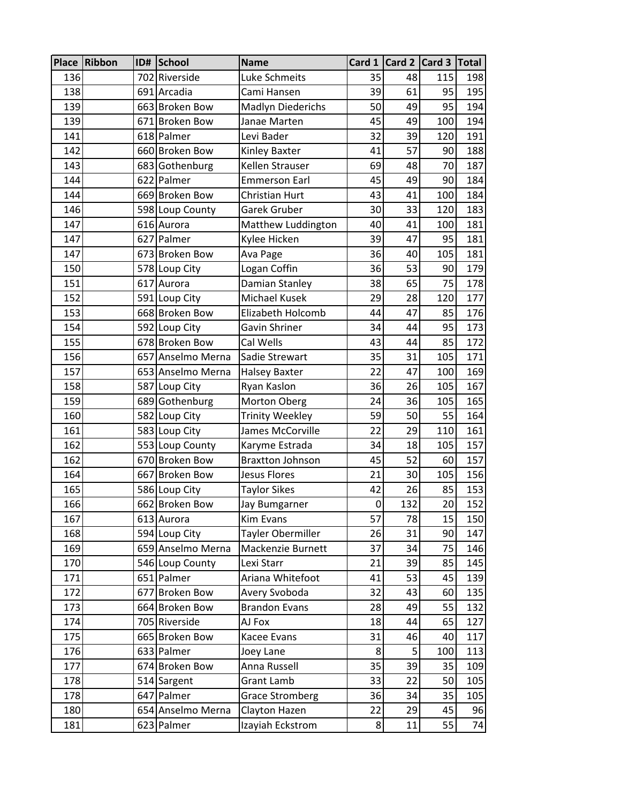|     | Place Ribbon | ID# School        | <b>Name</b>             |    |     | Card 1   Card 2   Card 3   Total |     |
|-----|--------------|-------------------|-------------------------|----|-----|----------------------------------|-----|
| 136 |              | 702 Riverside     | Luke Schmeits           | 35 | 48  | 115                              | 198 |
| 138 |              | 691 Arcadia       | Cami Hansen             | 39 | 61  | 95                               | 195 |
| 139 |              | 663 Broken Bow    | Madlyn Diederichs       | 50 | 49  | 95                               | 194 |
| 139 |              | 671 Broken Bow    | Janae Marten            | 45 | 49  | 100                              | 194 |
| 141 |              | 618 Palmer        | Levi Bader              | 32 | 39  | 120                              | 191 |
| 142 |              | 660 Broken Bow    | Kinley Baxter           | 41 | 57  | 90                               | 188 |
| 143 |              | 683 Gothenburg    | Kellen Strauser         | 69 | 48  | 70                               | 187 |
| 144 |              | 622 Palmer        | <b>Emmerson Earl</b>    | 45 | 49  | 90                               | 184 |
| 144 |              | 669 Broken Bow    | Christian Hurt          | 43 | 41  | 100                              | 184 |
| 146 |              | 598 Loup County   | Garek Gruber            | 30 | 33  | 120                              | 183 |
| 147 |              | 616 Aurora        | Matthew Luddington      | 40 | 41  | 100                              | 181 |
| 147 |              | 627 Palmer        | Kylee Hicken            | 39 | 47  | 95                               | 181 |
| 147 |              | 673 Broken Bow    | Ava Page                | 36 | 40  | 105                              | 181 |
| 150 |              | 578 Loup City     | Logan Coffin            | 36 | 53  | 90                               | 179 |
| 151 |              | 617 Aurora        | Damian Stanley          | 38 | 65  | 75                               | 178 |
| 152 |              | 591 Loup City     | Michael Kusek           | 29 | 28  | 120                              | 177 |
| 153 |              | 668 Broken Bow    | Elizabeth Holcomb       | 44 | 47  | 85                               | 176 |
| 154 |              | 592 Loup City     | Gavin Shriner           | 34 | 44  | 95                               | 173 |
| 155 |              | 678 Broken Bow    | Cal Wells               | 43 | 44  | 85                               | 172 |
| 156 |              | 657 Anselmo Merna | Sadie Strewart          | 35 | 31  | 105                              | 171 |
| 157 |              | 653 Anselmo Merna | <b>Halsey Baxter</b>    | 22 | 47  | 100                              | 169 |
| 158 |              | 587 Loup City     | Ryan Kaslon             | 36 | 26  | 105                              | 167 |
| 159 |              | 689 Gothenburg    | <b>Morton Oberg</b>     | 24 | 36  | 105                              | 165 |
| 160 |              | 582 Loup City     | <b>Trinity Weekley</b>  | 59 | 50  | 55                               | 164 |
| 161 |              | 583 Loup City     | James McCorville        | 22 | 29  | 110                              | 161 |
| 162 |              | 553 Loup County   | Karyme Estrada          | 34 | 18  | 105                              | 157 |
| 162 |              | 670 Broken Bow    | <b>Braxtton Johnson</b> | 45 | 52  | 60                               | 157 |
| 164 |              | 667 Broken Bow    | <b>Jesus Flores</b>     | 21 | 30  | 105                              | 156 |
| 165 |              | 586 Loup City     | <b>Taylor Sikes</b>     | 42 | 26  | 85                               | 153 |
| 166 |              | 662 Broken Bow    | Jay Bumgarner           | 0  | 132 | 20                               | 152 |
| 167 |              | 613 Aurora        | Kim Evans               | 57 | 78  | 15                               | 150 |
| 168 |              | 594 Loup City     | Tayler Obermiller       | 26 | 31  | 90                               | 147 |
| 169 |              | 659 Anselmo Merna | Mackenzie Burnett       | 37 | 34  | 75                               | 146 |
| 170 |              | 546 Loup County   | Lexi Starr              | 21 | 39  | 85                               | 145 |
| 171 |              | 651 Palmer        | Ariana Whitefoot        | 41 | 53  | 45                               | 139 |
| 172 |              | 677 Broken Bow    | Avery Svoboda           | 32 | 43  | 60                               | 135 |
| 173 |              | 664 Broken Bow    | <b>Brandon Evans</b>    | 28 | 49  | 55                               | 132 |
| 174 |              | 705 Riverside     | AJ Fox                  | 18 | 44  | 65                               | 127 |
| 175 |              | 665 Broken Bow    | Kacee Evans             | 31 | 46  | 40                               | 117 |
| 176 |              | 633 Palmer        | Joey Lane               | 8  | 5   | 100                              | 113 |
| 177 |              | 674 Broken Bow    | Anna Russell            | 35 | 39  | 35                               | 109 |
| 178 |              | 514 Sargent       | Grant Lamb              | 33 | 22  | 50                               | 105 |
| 178 |              | 647 Palmer        | <b>Grace Stromberg</b>  | 36 | 34  | 35                               | 105 |
| 180 |              | 654 Anselmo Merna | Clayton Hazen           | 22 | 29  | 45                               | 96  |
| 181 |              | 623 Palmer        | Izayiah Eckstrom        | 8  | 11  | 55                               | 74  |